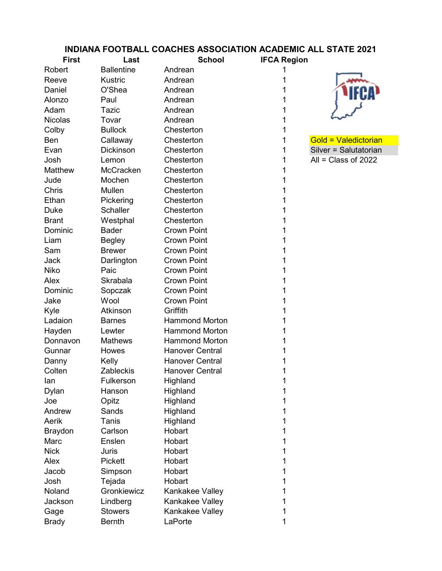## INDIANA FOOTBALL COACHES ASSOCIATION ACADEMIC ALL STATE 2021

| <b>First</b>   | Last              | <b>School</b>          | <b>IFCA Region</b> |                       |
|----------------|-------------------|------------------------|--------------------|-----------------------|
| Robert         | <b>Ballentine</b> | Andrean                |                    |                       |
| Reeve          | <b>Kustric</b>    | Andrean                |                    |                       |
| Daniel         | O'Shea            | Andrean                |                    |                       |
| Alonzo         | Paul              | Andrean                |                    |                       |
| Adam           | Tazic             | Andrean                | 1                  |                       |
| <b>Nicolas</b> | Tovar             | Andrean                |                    |                       |
| Colby          | <b>Bullock</b>    | Chesterton             | 1                  |                       |
| Ben            | Callaway          | Chesterton             | 1                  | Gold = Valedictorian  |
| Evan           | <b>Dickinson</b>  | Chesterton             | 1                  | Silver = Salutatorian |
| Josh           | Lemon             | Chesterton             | 1                  | All = Class of $2022$ |
| Matthew        | McCracken         | Chesterton             | 1                  |                       |
| Jude           | Mochen            | Chesterton             | 1                  |                       |
| Chris          | Mullen            | Chesterton             |                    |                       |
| Ethan          | Pickering         | Chesterton             | 1                  |                       |
| <b>Duke</b>    | <b>Schaller</b>   | Chesterton             | 1                  |                       |
| <b>Brant</b>   | Westphal          | Chesterton             |                    |                       |
| Dominic        | <b>Bader</b>      | <b>Crown Point</b>     | 1                  |                       |
| Liam           | <b>Begley</b>     | <b>Crown Point</b>     |                    |                       |
| Sam            | <b>Brewer</b>     | <b>Crown Point</b>     |                    |                       |
| Jack           | Darlington        | <b>Crown Point</b>     | 1                  |                       |
| Niko           | Paic              | <b>Crown Point</b>     | 1                  |                       |
| Alex           | Skrabala          | <b>Crown Point</b>     |                    |                       |
| Dominic        | Sopczak           | <b>Crown Point</b>     | 1                  |                       |
| Jake           | Wool              | <b>Crown Point</b>     |                    |                       |
| Kyle           | Atkinson          | Griffith               |                    |                       |
| Ladaion        | <b>Barnes</b>     | <b>Hammond Morton</b>  | 1                  |                       |
| Hayden         | Lewter            | <b>Hammond Morton</b>  |                    |                       |
| Donnavon       | <b>Mathews</b>    | <b>Hammond Morton</b>  |                    |                       |
| Gunnar         | Howes             | <b>Hanover Central</b> |                    |                       |
| Danny          | Kelly             | <b>Hanover Central</b> |                    |                       |
| Colten         | Zableckis         | <b>Hanover Central</b> | 1                  |                       |
| lan            | Fulkerson         | Highland               |                    |                       |
| Dylan          | Hanson            | Highland               | 1                  |                       |
| Joe            | Opitz             | Highland               |                    |                       |
| Andrew         | Sands             | Highland               |                    |                       |
| Aerik          | Tanis             | Highland               |                    |                       |
| <b>Braydon</b> | Carlson           | Hobart                 | 1                  |                       |
| Marc           | Enslen            | Hobart                 |                    |                       |
| <b>Nick</b>    | Juris             | Hobart                 |                    |                       |
| Alex           | <b>Pickett</b>    | Hobart                 |                    |                       |
| Jacob          | Simpson           | Hobart                 |                    |                       |
| Josh           | Tejada            | Hobart                 | 1                  |                       |
| Noland         | Gronkiewicz       | Kankakee Valley        |                    |                       |
| Jackson        | Lindberg          | Kankakee Valley        |                    |                       |
| Gage           | <b>Stowers</b>    | Kankakee Valley        |                    |                       |
| <b>Brady</b>   | <b>Bernth</b>     | LaPorte                | 1                  |                       |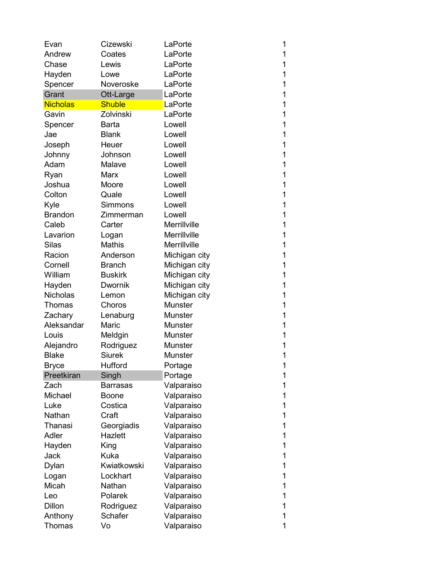| Evan            | Cizewski        | LaPorte        | 1 |
|-----------------|-----------------|----------------|---|
| Andrew          | Coates          | LaPorte        | 1 |
| Chase           | Lewis           | LaPorte        | 1 |
| Hayden          | Lowe            | LaPorte        | 1 |
| Spencer         | Noveroske       | LaPorte        | 1 |
| Grant           | Ott-Large       | LaPorte        | 1 |
| <b>Nicholas</b> | <b>Shuble</b>   | LaPorte        | 1 |
| Gavin           | Zolvinski       | LaPorte        | 1 |
| Spencer         | Barta           | Lowell         | 1 |
| Jae             | <b>Blank</b>    | Lowell         | 1 |
| Joseph          | Heuer           | Lowell         | 1 |
| Johnny          | Johnson         | Lowell         | 1 |
| Adam            | Malave          | Lowell         | 1 |
| Ryan            | Marx            | Lowell         | 1 |
| Joshua          | Moore           | Lowell         | 1 |
| Colton          | Quale           | Lowell         | 1 |
| Kyle            | <b>Simmons</b>  | Lowell         | 1 |
| <b>Brandon</b>  | Zimmerman       | Lowell         | 1 |
| Caleb           | Carter          | Merrillville   | 1 |
| Lavarion        | Logan           | Merrillville   | 1 |
| <b>Silas</b>    | <b>Mathis</b>   | Merrillville   | 1 |
| Racion          | Anderson        | Michigan city  | 1 |
| Cornell         | <b>Branch</b>   | Michigan city  | 1 |
| William         | <b>Buskirk</b>  | Michigan city  | 1 |
| Hayden          | <b>Dwornik</b>  | Michigan city  | 1 |
| <b>Nicholas</b> | Lemon           | Michigan city  | 1 |
| Thomas          | Choros          | <b>Munster</b> | 1 |
| Zachary         | Lenaburg        | <b>Munster</b> | 1 |
| Aleksandar      | Maric           | Munster        | 1 |
| Louis           | Meldgin         | <b>Munster</b> | 1 |
| Alejandro       | Rodriguez       | <b>Munster</b> | 1 |
| <b>Blake</b>    | <b>Siurek</b>   | <b>Munster</b> | 1 |
| <b>Bryce</b>    | Hufford         | Portage        | 1 |
| Preetkiran      | Singh           | Portage        | 1 |
| Zach            | <b>Barrasas</b> | Valparaiso     | 1 |
| Michael         | <b>Boone</b>    | Valparaiso     | 1 |
| Luke            | Costica         | Valparaiso     | 1 |
| Nathan          | Craft           | Valparaiso     | 1 |
| Thanasi         | Georgiadis      | Valparaiso     | 1 |
| Adler           | Hazlett         | Valparaiso     | 1 |
| Hayden          | King            | Valparaiso     | 1 |
| Jack            | <b>Kuka</b>     | Valparaiso     | 1 |
| Dylan           | Kwiatkowski     | Valparaiso     | 1 |
| Logan           | Lockhart        | Valparaiso     | 1 |
| Micah           | Nathan          | Valparaiso     | 1 |
| Leo             | Polarek         | Valparaiso     | 1 |
| Dillon          | Rodriguez       | Valparaiso     | 1 |
| Anthony         | Schafer         | Valparaiso     | 1 |
| Thomas          | Vo              | Valparaiso     | 1 |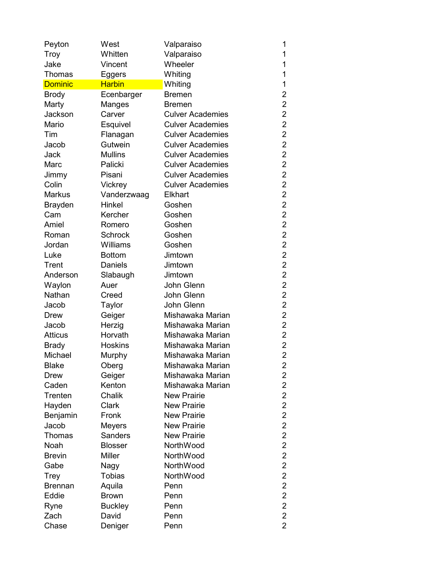| Peyton         | West           | Valparaiso              | 1                       |
|----------------|----------------|-------------------------|-------------------------|
| Troy           | Whitten        | Valparaiso              | 1                       |
| Jake           | Vincent        | Wheeler                 | 1                       |
| Thomas         | Eggers         | Whiting                 | 1                       |
| <b>Dominic</b> | <b>Harbin</b>  | Whiting                 | 1                       |
| <b>Brody</b>   | Ecenbarger     | <b>Bremen</b>           | $\overline{2}$          |
| Marty          | Manges         | Bremen                  | $\overline{2}$          |
| Jackson        | Carver         | <b>Culver Academies</b> | $\overline{2}$          |
| Mario          | Esquivel       | <b>Culver Academies</b> | $\overline{2}$          |
| Tim            | Flanagan       | <b>Culver Academies</b> | $\overline{2}$          |
| Jacob          | Gutwein        | <b>Culver Academies</b> | $\overline{2}$          |
| Jack           | <b>Mullins</b> | <b>Culver Academies</b> | $\overline{2}$          |
| Marc           | Palicki        | <b>Culver Academies</b> | $\overline{2}$          |
| Jimmy          | Pisani         | <b>Culver Academies</b> | $\overline{2}$          |
| Colin          | Vickrey        | <b>Culver Academies</b> | $\overline{2}$          |
| <b>Markus</b>  | Vanderzwaag    | <b>Elkhart</b>          | $\overline{2}$          |
| <b>Brayden</b> | Hinkel         | Goshen                  | $\overline{2}$          |
| Cam            | Kercher        | Goshen                  | $\overline{2}$          |
| Amiel          | Romero         | Goshen                  | $\overline{2}$          |
| Roman          | <b>Schrock</b> | Goshen                  | $\overline{2}$          |
| Jordan         | Williams       | Goshen                  | $\overline{\mathbf{c}}$ |
| Luke           | <b>Bottom</b>  | Jimtown                 | $\overline{2}$          |
| Trent          | Daniels        | Jimtown                 | $\overline{2}$          |
| Anderson       | Slabaugh       | Jimtown                 | $\overline{2}$          |
| Waylon         | Auer           | John Glenn              | $\overline{2}$          |
| Nathan         | Creed          | John Glenn              | $\overline{2}$          |
| Jacob          | Taylor         | John Glenn              | $\overline{2}$          |
| Drew           | Geiger         | Mishawaka Marian        | $\overline{2}$          |
| Jacob          | Herzig         | Mishawaka Marian        | $\overline{2}$          |
| <b>Atticus</b> | Horvath        | Mishawaka Marian        | $\overline{c}$          |
| <b>Brady</b>   | <b>Hoskins</b> | Mishawaka Marian        | $\overline{2}$          |
| Michael        | Murphy         | Mishawaka Marian        | $\overline{2}$          |
| <b>Blake</b>   | Oberg          | Mishawaka Marian        | 2                       |
| Drew           | Geiger         | Mishawaka Marian        | 2                       |
| Caden          | Kenton         | Mishawaka Marian        | 2                       |
| Trenten        | Chalik         | <b>New Prairie</b>      | $\overline{2}$          |
| Hayden         | Clark          | <b>New Prairie</b>      | $\overline{2}$          |
| Benjamin       | Fronk          | <b>New Prairie</b>      | $\overline{2}$          |
| Jacob          | Meyers         | <b>New Prairie</b>      | $\overline{2}$          |
| Thomas         | <b>Sanders</b> | <b>New Prairie</b>      | $\overline{2}$          |
| Noah           | <b>Blosser</b> | NorthWood               | $\overline{2}$          |
| <b>Brevin</b>  | <b>Miller</b>  | NorthWood               | $\overline{2}$          |
| Gabe           | Nagy           | NorthWood               | $\overline{2}$          |
| Trey           | <b>Tobias</b>  | NorthWood               | $\overline{2}$          |
| <b>Brennan</b> | Aquila         | Penn                    | $\overline{2}$          |
| Eddie          | <b>Brown</b>   | Penn                    | $\overline{\mathbf{c}}$ |
| Ryne           | <b>Buckley</b> | Penn                    | $\overline{2}$          |
| Zach           | David          | Penn                    | $\overline{2}$          |
| Chase          | Deniger        | Penn                    | $\overline{2}$          |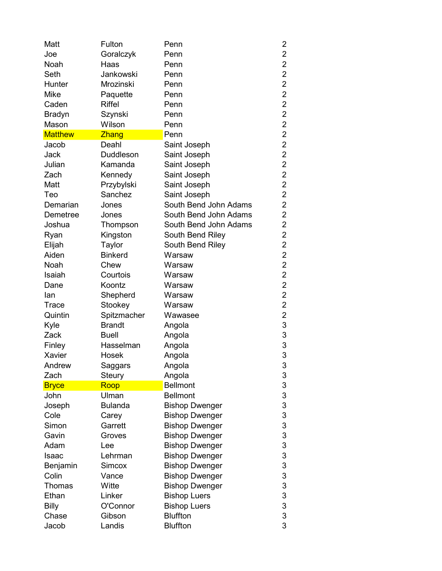| Fulton           | Penn                                                                                                                                                                 | 2                                                                                                                                                                                                                                                                                                                                                                                              |
|------------------|----------------------------------------------------------------------------------------------------------------------------------------------------------------------|------------------------------------------------------------------------------------------------------------------------------------------------------------------------------------------------------------------------------------------------------------------------------------------------------------------------------------------------------------------------------------------------|
| Goralczyk        | Penn                                                                                                                                                                 | $\overline{2}$                                                                                                                                                                                                                                                                                                                                                                                 |
| Haas             | Penn                                                                                                                                                                 | $\overline{2}$                                                                                                                                                                                                                                                                                                                                                                                 |
| Jankowski        | Penn                                                                                                                                                                 | $\overline{2}$                                                                                                                                                                                                                                                                                                                                                                                 |
| Mrozinski        | Penn                                                                                                                                                                 | $\overline{c}$                                                                                                                                                                                                                                                                                                                                                                                 |
| Paquette         | Penn                                                                                                                                                                 | $\overline{2}$                                                                                                                                                                                                                                                                                                                                                                                 |
| <b>Riffel</b>    | Penn                                                                                                                                                                 | $\overline{2}$                                                                                                                                                                                                                                                                                                                                                                                 |
| Szynski          | Penn                                                                                                                                                                 | $\overline{2}$                                                                                                                                                                                                                                                                                                                                                                                 |
| Wilson           | Penn                                                                                                                                                                 | $\overline{2}$                                                                                                                                                                                                                                                                                                                                                                                 |
| Zhang            | Penn                                                                                                                                                                 | $\overline{2}$                                                                                                                                                                                                                                                                                                                                                                                 |
| Deahl            | Saint Joseph                                                                                                                                                         | $\overline{2}$                                                                                                                                                                                                                                                                                                                                                                                 |
| <b>Duddleson</b> | Saint Joseph                                                                                                                                                         | $\overline{2}$                                                                                                                                                                                                                                                                                                                                                                                 |
| Kamanda          | Saint Joseph                                                                                                                                                         | $\overline{2}$                                                                                                                                                                                                                                                                                                                                                                                 |
| Kennedy          | Saint Joseph                                                                                                                                                         | $\overline{2}$                                                                                                                                                                                                                                                                                                                                                                                 |
| Przybylski       | Saint Joseph                                                                                                                                                         | $\overline{2}$                                                                                                                                                                                                                                                                                                                                                                                 |
| Sanchez          | Saint Joseph                                                                                                                                                         | $\overline{2}$                                                                                                                                                                                                                                                                                                                                                                                 |
| Jones            | South Bend John Adams                                                                                                                                                | $\overline{2}$                                                                                                                                                                                                                                                                                                                                                                                 |
| Jones            | South Bend John Adams                                                                                                                                                | $\overline{2}$                                                                                                                                                                                                                                                                                                                                                                                 |
|                  | South Bend John Adams                                                                                                                                                | $\overline{2}$                                                                                                                                                                                                                                                                                                                                                                                 |
|                  |                                                                                                                                                                      | $\overline{2}$                                                                                                                                                                                                                                                                                                                                                                                 |
|                  |                                                                                                                                                                      | $\overline{2}$                                                                                                                                                                                                                                                                                                                                                                                 |
| <b>Binkerd</b>   | Warsaw                                                                                                                                                               | $\overline{2}$                                                                                                                                                                                                                                                                                                                                                                                 |
| Chew             |                                                                                                                                                                      | $\overline{2}$                                                                                                                                                                                                                                                                                                                                                                                 |
|                  |                                                                                                                                                                      | $\overline{\mathbf{c}}$                                                                                                                                                                                                                                                                                                                                                                        |
| Koontz           |                                                                                                                                                                      | $\overline{2}$                                                                                                                                                                                                                                                                                                                                                                                 |
|                  |                                                                                                                                                                      | $\overline{2}$                                                                                                                                                                                                                                                                                                                                                                                 |
|                  |                                                                                                                                                                      | $\overline{2}$                                                                                                                                                                                                                                                                                                                                                                                 |
|                  |                                                                                                                                                                      | $\overline{\mathbf{c}}$                                                                                                                                                                                                                                                                                                                                                                        |
|                  |                                                                                                                                                                      | 3                                                                                                                                                                                                                                                                                                                                                                                              |
|                  |                                                                                                                                                                      | 3                                                                                                                                                                                                                                                                                                                                                                                              |
|                  |                                                                                                                                                                      | 3                                                                                                                                                                                                                                                                                                                                                                                              |
| Hosek            |                                                                                                                                                                      | 3                                                                                                                                                                                                                                                                                                                                                                                              |
|                  |                                                                                                                                                                      | 3                                                                                                                                                                                                                                                                                                                                                                                              |
|                  |                                                                                                                                                                      | 3                                                                                                                                                                                                                                                                                                                                                                                              |
|                  | <b>Bellmont</b>                                                                                                                                                      | 3                                                                                                                                                                                                                                                                                                                                                                                              |
| Ulman            | <b>Bellmont</b>                                                                                                                                                      | 3                                                                                                                                                                                                                                                                                                                                                                                              |
| <b>Bulanda</b>   |                                                                                                                                                                      | 3                                                                                                                                                                                                                                                                                                                                                                                              |
|                  |                                                                                                                                                                      | 3                                                                                                                                                                                                                                                                                                                                                                                              |
| Garrett          |                                                                                                                                                                      | 3                                                                                                                                                                                                                                                                                                                                                                                              |
| Groves           |                                                                                                                                                                      | 3                                                                                                                                                                                                                                                                                                                                                                                              |
| Lee              |                                                                                                                                                                      | 3                                                                                                                                                                                                                                                                                                                                                                                              |
| Lehrman          |                                                                                                                                                                      | 3                                                                                                                                                                                                                                                                                                                                                                                              |
| Simcox           |                                                                                                                                                                      | 3                                                                                                                                                                                                                                                                                                                                                                                              |
| Vance            |                                                                                                                                                                      | 3                                                                                                                                                                                                                                                                                                                                                                                              |
| Witte            |                                                                                                                                                                      | 3                                                                                                                                                                                                                                                                                                                                                                                              |
| Linker           | <b>Bishop Luers</b>                                                                                                                                                  | 3                                                                                                                                                                                                                                                                                                                                                                                              |
| O'Connor         | <b>Bishop Luers</b>                                                                                                                                                  | 3                                                                                                                                                                                                                                                                                                                                                                                              |
| Gibson           | <b>Bluffton</b>                                                                                                                                                      | 3                                                                                                                                                                                                                                                                                                                                                                                              |
| Landis           | <b>Bluffton</b>                                                                                                                                                      | 3                                                                                                                                                                                                                                                                                                                                                                                              |
|                  | Thompson<br>Kingston<br>Taylor<br>Courtois<br>Shepherd<br>Stookey<br>Spitzmacher<br><b>Brandt</b><br><b>Buell</b><br>Hasselman<br>Saggars<br>Steury<br>Roop<br>Carey | South Bend Riley<br>South Bend Riley<br>Warsaw<br>Warsaw<br>Warsaw<br>Warsaw<br>Warsaw<br>Wawasee<br>Angola<br>Angola<br>Angola<br>Angola<br>Angola<br>Angola<br><b>Bishop Dwenger</b><br><b>Bishop Dwenger</b><br><b>Bishop Dwenger</b><br><b>Bishop Dwenger</b><br><b>Bishop Dwenger</b><br><b>Bishop Dwenger</b><br><b>Bishop Dwenger</b><br><b>Bishop Dwenger</b><br><b>Bishop Dwenger</b> |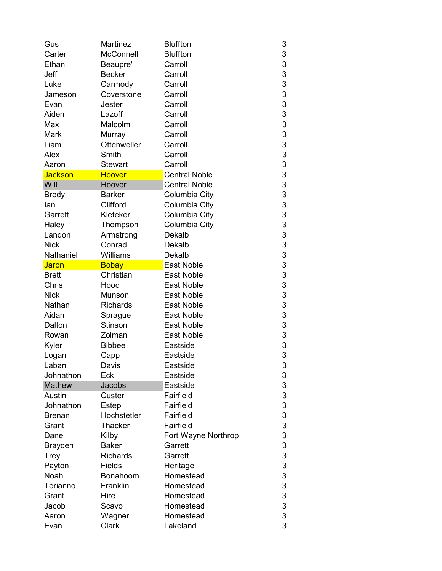| Gus            | <b>Martinez</b>     | <b>Bluffton</b>      | 3 |
|----------------|---------------------|----------------------|---|
| Carter         | McConnell           | <b>Bluffton</b>      | 3 |
| Ethan          | Beaupre'            | Carroll              | 3 |
| Jeff           | <b>Becker</b>       | Carroll              | 3 |
| Luke           | Carmody             | Carroll              | 3 |
| Jameson        | Coverstone          | Carroll              | 3 |
| Evan           | Jester              | Carroll              | 3 |
| Aiden          | Lazoff              | Carroll              | 3 |
| Max            | Malcolm             | Carroll              | 3 |
| Mark           | Murray              | Carroll              | 3 |
| Liam           | <b>Ottenweller</b>  | Carroll              | 3 |
| Alex           | Smith               | Carroll              | 3 |
| Aaron          | <b>Stewart</b>      | Carroll              | 3 |
| <b>Jackson</b> | <b>Hoover</b>       | <b>Central Noble</b> | 3 |
| Will           | Hoover              | <b>Central Noble</b> | 3 |
| <b>Brody</b>   | <b>Barker</b>       | Columbia City        | 3 |
| lan            | Clifford            | Columbia City        | 3 |
| Garrett        | Klefeker            | Columbia City        | 3 |
| Haley          |                     | Columbia City        | 3 |
| Landon         | Thompson            | Dekalb               | 3 |
| <b>Nick</b>    | Armstrong<br>Conrad | Dekalb               | 3 |
| Nathaniel      | Williams            | Dekalb               | 3 |
|                |                     | <b>East Noble</b>    | 3 |
| <b>Jaron</b>   | <b>Bobay</b>        |                      |   |
| <b>Brett</b>   | Christian           | <b>East Noble</b>    | 3 |
| Chris          | Hood                | East Noble           | 3 |
| <b>Nick</b>    | Munson              | <b>East Noble</b>    | 3 |
| Nathan         | <b>Richards</b>     | East Noble           | 3 |
| Aidan          | Sprague             | East Noble           | 3 |
| Dalton         | <b>Stinson</b>      | <b>East Noble</b>    | 3 |
| Rowan          | Zolman              | <b>East Noble</b>    | 3 |
| Kyler          | <b>Bibbee</b>       | Eastside             | 3 |
| Logan          | Capp                | Eastside             | 3 |
| Laban          | Davis               | Eastside             | 3 |
| Johnathon      | Eck                 | Eastside             | 3 |
| <b>Mathew</b>  | Jacobs              | Eastside             | 3 |
| Austin         | Custer              | Fairfield            | 3 |
| Johnathon      | Estep               | Fairfield            | 3 |
| <b>Brenan</b>  | Hochstetler         | Fairfield            | 3 |
| Grant          | <b>Thacker</b>      | Fairfield            | 3 |
| Dane           | Kilby               | Fort Wayne Northrop  | 3 |
| <b>Brayden</b> | <b>Baker</b>        | Garrett              | 3 |
| Trey           | <b>Richards</b>     | Garrett              | 3 |
| Payton         | Fields              | Heritage             | 3 |
| Noah           | Bonahoom            | Homestead            | 3 |
| Torianno       | Franklin            | Homestead            | 3 |
| Grant          | Hire                | Homestead            | 3 |
| Jacob          | Scavo               | Homestead            | 3 |
| Aaron          | Wagner              | Homestead            | 3 |
| Evan           | Clark               | Lakeland             | 3 |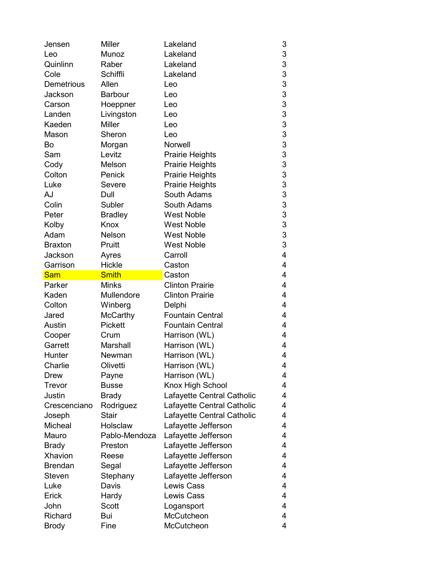| Jensen                  | <b>Miller</b>  | Lakeland                   | 3      |
|-------------------------|----------------|----------------------------|--------|
| Leo                     | Munoz          | Lakeland                   | 3      |
| Quinlinn                | Raber          | Lakeland                   | 3      |
| Cole                    | Schiffli       | Lakeland                   | 3      |
| Demetrious              | Allen          | Leo                        | 3      |
| Jackson                 | <b>Barbour</b> | Leo                        | 3      |
| Carson                  | Hoeppner       | Leo                        | 3      |
| Landen                  | Livingston     | Leo                        | 3      |
| Kaeden                  | <b>Miller</b>  | Leo                        | 3      |
| Mason                   | Sheron         | Leo                        | 3      |
| Bo                      | Morgan         | Norwell                    | 3      |
| Sam                     | Levitz         | <b>Prairie Heights</b>     | 3      |
| Cody                    | Melson         | <b>Prairie Heights</b>     | 3      |
| Colton                  | Penick         | <b>Prairie Heights</b>     | 3      |
| Luke                    | Severe         | <b>Prairie Heights</b>     | 3      |
| AJ                      | Dull           | South Adams                | 3      |
| Colin                   | Subler         | South Adams                | 3      |
| Peter                   | <b>Bradley</b> | <b>West Noble</b>          | 3      |
| Kolby                   | Knox           | <b>West Noble</b>          | 3      |
| Adam                    | <b>Nelson</b>  | <b>West Noble</b>          | 3      |
| <b>Braxton</b>          | Pruitt         | <b>West Noble</b>          | 3      |
| Jackson                 | Ayres          | Carroll                    | 4      |
| Garrison                | Hickle         | Caston                     | 4      |
| <b>Sam</b>              | <b>Smith</b>   | Caston                     | 4      |
|                         |                |                            | 4      |
|                         |                |                            |        |
| Parker                  | <b>Minks</b>   | <b>Clinton Prairie</b>     |        |
| Kaden                   | Mullendore     | <b>Clinton Prairie</b>     | 4      |
| Colton                  | Winberg        | Delphi                     | 4      |
| Jared                   | McCarthy       | <b>Fountain Central</b>    | 4      |
| Austin                  | <b>Pickett</b> | <b>Fountain Central</b>    | 4      |
| Cooper                  | Crum           | Harrison (WL)              | 4      |
| Garrett                 | Marshall       | Harrison (WL)              | 4      |
| Hunter                  | Newman         | Harrison (WL)              | 4      |
| Charlie                 | Olivetti       | Harrison (WL)              | 4      |
| Drew                    | Payne          | Harrison (WL)              | 4      |
| Trevor                  | <b>Busse</b>   | Knox High School           | 4      |
| Justin                  | <b>Brady</b>   | Lafayette Central Catholic | 4      |
| Crescenciano            | Rodriguez      | Lafayette Central Catholic | 4      |
| Joseph                  | <b>Stair</b>   | Lafayette Central Catholic | 4      |
| Micheal                 | Holsclaw       | Lafayette Jefferson        | 4      |
| Mauro                   | Pablo-Mendoza  | Lafayette Jefferson        | 4      |
| <b>Brady</b>            | Preston        | Lafayette Jefferson        | 4      |
| Xhavion                 | Reese          | Lafayette Jefferson        | 4      |
| <b>Brendan</b>          | Segal          | Lafayette Jefferson        | 4      |
| Steven                  | Stephany       | Lafayette Jefferson        | 4      |
| Luke                    | Davis          | Lewis Cass                 | 4      |
| Erick                   | Hardy          | <b>Lewis Cass</b>          | 4      |
| John                    | Scott          | Logansport                 | 4      |
| Richard<br><b>Brody</b> | Bui<br>Fine    | McCutcheon<br>McCutcheon   | 4<br>4 |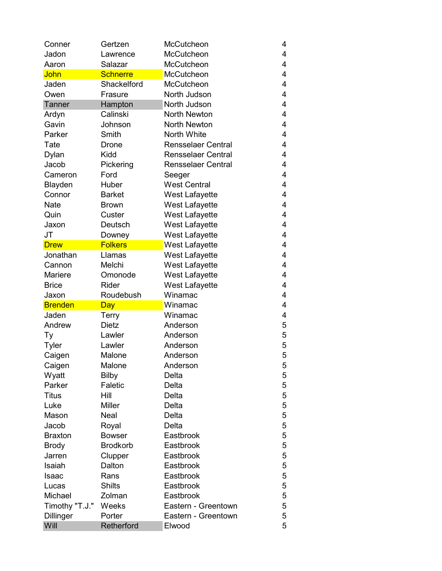| Conner         | Gertzen         | McCutcheon                | 4 |
|----------------|-----------------|---------------------------|---|
| Jadon          | Lawrence        | <b>McCutcheon</b>         | 4 |
| Aaron          | Salazar         | McCutcheon                | 4 |
| John           | <b>Schnerre</b> | McCutcheon                | 4 |
| Jaden          | Shackelford     | <b>McCutcheon</b>         | 4 |
| Owen           | Frasure         | North Judson              | 4 |
| Tanner         | Hampton         | North Judson              | 4 |
| Ardyn          | Calinski        | <b>North Newton</b>       | 4 |
| Gavin          | Johnson         | <b>North Newton</b>       | 4 |
| Parker         | Smith           | North White               | 4 |
| Tate           | Drone           | <b>Rensselaer Central</b> | 4 |
| Dylan          | Kidd            | <b>Rensselaer Central</b> | 4 |
| Jacob          | Pickering       | <b>Rensselaer Central</b> | 4 |
| Cameron        | Ford            | Seeger                    | 4 |
| Blayden        | Huber           | <b>West Central</b>       | 4 |
| Connor         | <b>Barket</b>   | <b>West Lafayette</b>     | 4 |
| <b>Nate</b>    | <b>Brown</b>    | <b>West Lafayette</b>     | 4 |
| Quin           | Custer          | <b>West Lafayette</b>     | 4 |
| Jaxon          | Deutsch         | <b>West Lafayette</b>     | 4 |
| JT             | Downey          | <b>West Lafayette</b>     | 4 |
| <b>Drew</b>    | <b>Folkers</b>  | West Lafayette            | 4 |
| Jonathan       | Llamas          | <b>West Lafayette</b>     | 4 |
| Cannon         | Melchi          | West Lafayette            | 4 |
| <b>Mariere</b> | Omonode         | West Lafayette            | 4 |
| <b>Brice</b>   | <b>Rider</b>    | <b>West Lafayette</b>     | 4 |
| Jaxon          | Roudebush       | Winamac                   | 4 |
| <b>Brenden</b> | <b>Day</b>      | Winamac                   | 4 |
| Jaden          | Terry           | Winamac                   | 4 |
| Andrew         | <b>Dietz</b>    | Anderson                  | 5 |
| Тy             | Lawler          | Anderson                  | 5 |
| <b>Tyler</b>   | Lawler          | Anderson                  | 5 |
| Caigen         | Malone          | Anderson                  | 5 |
| Caigen         | Malone          | Anderson                  | 5 |
| Wyatt          | Bilby           | Delta                     | 5 |
| Parker         | Faletic         | Delta                     | 5 |
| <b>Titus</b>   | Hill            | Delta                     | 5 |
| Luke           | <b>Miller</b>   | Delta                     | 5 |
| Mason          | <b>Neal</b>     | Delta                     | 5 |
| Jacob          | Royal           | Delta                     | 5 |
| <b>Braxton</b> | <b>Bowser</b>   | Eastbrook                 | 5 |
| <b>Brody</b>   | <b>Brodkorb</b> | Eastbrook                 | 5 |
| Jarren         | Clupper         | Eastbrook                 | 5 |
| Isaiah         | Dalton          | Eastbrook                 | 5 |
| Isaac          | Rans            | Eastbrook                 | 5 |
| Lucas          | <b>Shilts</b>   | Eastbrook                 | 5 |
| Michael        | Zolman          | Eastbrook                 | 5 |
| Timothy "T.J." | Weeks           | Eastern - Greentown       | 5 |
| Dillinger      | Porter          | Eastern - Greentown       | 5 |
|                |                 |                           |   |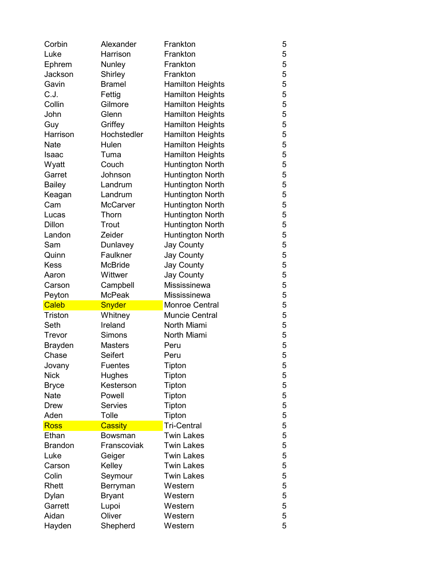| Corbin          | Alexander          | Frankton                | 5      |
|-----------------|--------------------|-------------------------|--------|
| Luke            | Harrison           | Frankton                | 5      |
| Ephrem          | Nunley             | Frankton                | 5      |
| Jackson         | Shirley            | Frankton                | 5      |
| Gavin           | <b>Bramel</b>      | <b>Hamilton Heights</b> | 5      |
| C.J.            | Fettig             | <b>Hamilton Heights</b> | 5      |
| Collin          | Gilmore            | <b>Hamilton Heights</b> | 5      |
| John            | Glenn              | <b>Hamilton Heights</b> | 5      |
| Guy             | Griffey            | <b>Hamilton Heights</b> | 5      |
| Harrison        | Hochstedler        | <b>Hamilton Heights</b> | 5      |
| <b>Nate</b>     | Hulen              | <b>Hamilton Heights</b> | 5      |
| Isaac           | Tuma               | <b>Hamilton Heights</b> | 5      |
| Wyatt           | Couch              | Huntington North        | 5      |
| Garret          | Johnson            | <b>Huntington North</b> | 5      |
| <b>Bailey</b>   | Landrum            | <b>Huntington North</b> | 5      |
| Keagan          | Landrum            | <b>Huntington North</b> | 5      |
| Cam             | <b>McCarver</b>    | <b>Huntington North</b> | 5      |
| Lucas           | Thorn              | <b>Huntington North</b> | 5      |
| <b>Dillon</b>   | Trout              | <b>Huntington North</b> | 5      |
| Landon          | Zeider             | <b>Huntington North</b> | 5      |
| Sam             | Dunlavey           | <b>Jay County</b>       | 5      |
| Quinn           | Faulkner           | <b>Jay County</b>       | 5      |
| <b>Kess</b>     | <b>McBride</b>     | <b>Jay County</b>       | 5      |
| Aaron           | Wittwer            | <b>Jay County</b>       | 5      |
| Carson          | Campbell           | Mississinewa            | 5      |
|                 |                    |                         |        |
| Peyton          | <b>McPeak</b>      | Mississinewa            | 5      |
| Caleb           | Snyder             | <b>Monroe Central</b>   | 5      |
| Triston         | Whitney            | <b>Muncie Central</b>   | 5      |
| Seth            | Ireland            | North Miami             | 5      |
| Trevor          | Simons             | North Miami             | 5      |
| <b>Brayden</b>  | <b>Masters</b>     | Peru                    | 5      |
| Chase           | <b>Seifert</b>     | Peru                    | 5      |
| Jovany          | <b>Fuentes</b>     | Tipton                  | 5      |
| <b>Nick</b>     | Hughes             | Tipton                  | 5      |
| <b>Bryce</b>    | Kesterson          | Tipton                  | 5      |
| <b>Nate</b>     | Powell             | Tipton                  | 5      |
| <b>Drew</b>     | <b>Servies</b>     | Tipton                  | 5      |
| Aden            | Tolle              | Tipton                  | 5      |
| <b>Ross</b>     | <b>Cassity</b>     | <b>Tri-Central</b>      | 5      |
| Ethan           | Bowsman            | <b>Twin Lakes</b>       | 5      |
| <b>Brandon</b>  | Franscoviak        | <b>Twin Lakes</b>       | 5      |
| Luke            | Geiger             | <b>Twin Lakes</b>       | 5      |
| Carson          | Kelley             | <b>Twin Lakes</b>       | 5      |
| Colin           | Seymour            | <b>Twin Lakes</b>       | 5      |
| Rhett           | Berryman           | Western                 | 5      |
| Dylan           | <b>Bryant</b>      | Western                 | 5      |
| Garrett         | Lupoi              | Western                 | 5      |
| Aidan<br>Hayden | Oliver<br>Shepherd | Western<br>Western      | 5<br>5 |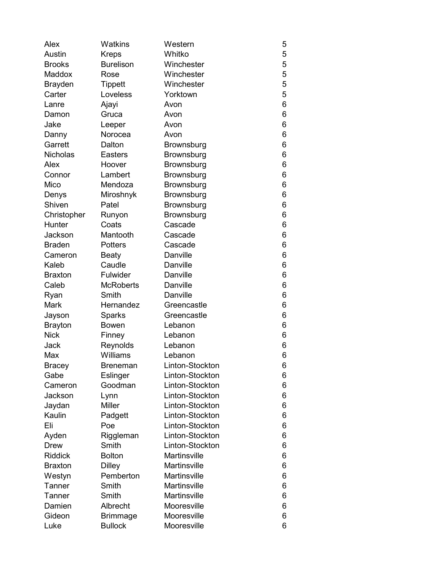| Alex            | Watkins          | Western             | 5 |
|-----------------|------------------|---------------------|---|
| Austin          | <b>Kreps</b>     | Whitko              | 5 |
| <b>Brooks</b>   | <b>Burelison</b> | Winchester          | 5 |
| <b>Maddox</b>   | Rose             | Winchester          | 5 |
| <b>Brayden</b>  | Tippett          | Winchester          | 5 |
| Carter          | Loveless         | Yorktown            | 5 |
| Lanre           | Ajayi            | Avon                | 6 |
| Damon           | Gruca            | Avon                | 6 |
| Jake            | Leeper           | Avon                | 6 |
| Danny           | Norocea          | Avon                | 6 |
| Garrett         | Dalton           | Brownsburg          | 6 |
| <b>Nicholas</b> | <b>Easters</b>   | Brownsburg          | 6 |
| Alex            | Hoover           | <b>Brownsburg</b>   | 6 |
| Connor          | Lambert          | Brownsburg          | 6 |
| Mico            | Mendoza          | Brownsburg          | 6 |
| Denys           | Miroshnyk        | Brownsburg          | 6 |
| Shiven          | Patel            | Brownsburg          | 6 |
| Christopher     | Runyon           | Brownsburg          | 6 |
| Hunter          | Coats            | Cascade             | 6 |
| Jackson         | Mantooth         | Cascade             | 6 |
| <b>Braden</b>   | Potters          | Cascade             | 6 |
| Cameron         | <b>Beaty</b>     | Danville            | 6 |
| Kaleb           | Caudle           | Danville            | 6 |
| <b>Braxton</b>  | Fulwider         | Danville            | 6 |
| Caleb           | <b>McRoberts</b> | Danville            | 6 |
| Ryan            | Smith            | Danville            | 6 |
| Mark            | Hernandez        | Greencastle         | 6 |
| Jayson          | Sparks           | Greencastle         | 6 |
| <b>Brayton</b>  | Bowen            | Lebanon             | 6 |
| <b>Nick</b>     | Finney           | Lebanon             | 6 |
| Jack            | Reynolds         | Lebanon             | 6 |
| Max             | Williams         | Lebanon             | 6 |
| <b>Bracey</b>   | Breneman         | Linton-Stockton     | 6 |
| Gabe            | Eslinger         | Linton-Stockton     | 6 |
| Cameron         | Goodman          | Linton-Stockton     | 6 |
| Jackson         | Lynn             | Linton-Stockton     | 6 |
| Jaydan          | Miller           | Linton-Stockton     | 6 |
| Kaulin          | Padgett          | Linton-Stockton     | 6 |
| Eli             | Poe              | Linton-Stockton     | 6 |
| Ayden           | Riggleman        | Linton-Stockton     | 6 |
| <b>Drew</b>     | Smith            | Linton-Stockton     | 6 |
| <b>Riddick</b>  | <b>Bolton</b>    | <b>Martinsville</b> | 6 |
| <b>Braxton</b>  | <b>Dilley</b>    | <b>Martinsville</b> | 6 |
| Westyn          | Pemberton        | <b>Martinsville</b> | 6 |
| Tanner          | Smith            | <b>Martinsville</b> | 6 |
| Tanner          | Smith            | <b>Martinsville</b> | 6 |
| Damien          | Albrecht         | Mooresville         | 6 |
| Gideon          | <b>Brimmage</b>  | Mooresville         | 6 |
| Luke            | <b>Bullock</b>   | Mooresville         | 6 |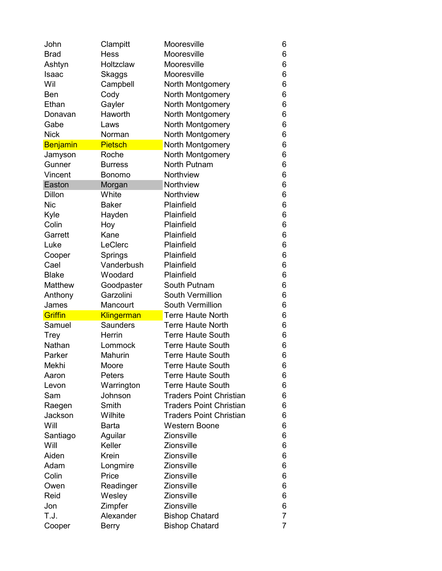| John            | Clampitt        | Mooresville                    | 6              |
|-----------------|-----------------|--------------------------------|----------------|
| <b>Brad</b>     | <b>Hess</b>     | Mooresville                    | 6              |
| Ashtyn          | Holtzclaw       | Mooresville                    | 6              |
| Isaac           | Skaggs          | Mooresville                    | 6              |
| Wil             | Campbell        | North Montgomery               | 6              |
| Ben             | Cody            | North Montgomery               | 6              |
| Ethan           | Gayler          | North Montgomery               | 6              |
| Donavan         | Haworth         | North Montgomery               | 6              |
| Gabe            | Laws            | North Montgomery               | 6              |
| <b>Nick</b>     | Norman          | North Montgomery               | 6              |
| <b>Benjamin</b> | <b>Pietsch</b>  | North Montgomery               | 6              |
| Jamyson         | Roche           | North Montgomery               | 6              |
| Gunner          | <b>Burress</b>  | <b>North Putnam</b>            | 6              |
| Vincent         | <b>Bonomo</b>   | <b>Northview</b>               | 6              |
| Easton          | Morgan          | Northview                      | 6              |
| Dillon          | White           | Northview                      | 6              |
| <b>Nic</b>      | <b>Baker</b>    | Plainfield                     | 6              |
| Kyle            | Hayden          | Plainfield                     | 6              |
| Colin           | Hoy             | Plainfield                     | 6              |
| Garrett         | Kane            | Plainfield                     | 6              |
| Luke            | LeClerc         | Plainfield                     | 6              |
| Cooper          | Springs         | Plainfield                     | 6              |
| Cael            | Vanderbush      | Plainfield                     | 6              |
| <b>Blake</b>    | Woodard         | Plainfield                     | 6              |
| <b>Matthew</b>  | Goodpaster      | South Putnam                   | 6              |
|                 |                 |                                |                |
| Anthony         | Garzolini       | South Vermillion               | 6              |
| James           | Mancourt        | South Vermillion               | 6              |
| Griffin         | Klingerman      | <b>Terre Haute North</b>       | 6              |
| Samuel          | <b>Saunders</b> | <b>Terre Haute North</b>       | 6              |
| Trey            | Herrin          | <b>Terre Haute South</b>       | 6              |
| Nathan          | Lommock         | <b>Terre Haute South</b>       | 6              |
| Parker          | Mahurin         | <b>Terre Haute South</b>       | 6              |
| Mekhi           | Moore           | Terre Haute South              | 6              |
| Aaron           | Peters          | <b>Terre Haute South</b>       | 6              |
| Levon           | Warrington      | <b>Terre Haute South</b>       | 6              |
| Sam             | Johnson         | <b>Traders Point Christian</b> | 6              |
| Raegen          | Smith           | <b>Traders Point Christian</b> | 6              |
| Jackson         | Wilhite         | <b>Traders Point Christian</b> | 6              |
| Will            | <b>Barta</b>    | <b>Western Boone</b>           | 6              |
| Santiago        | Aguilar         | <b>Zionsville</b>              | 6              |
| Will            | Keller          | <b>Zionsville</b>              | 6              |
| Aiden           | Krein           | <b>Zionsville</b>              | 6              |
| Adam            | Longmire        | Zionsville                     | 6              |
| Colin           | Price           | <b>Zionsville</b>              | 6              |
| Owen            | Readinger       | <b>Zionsville</b>              | 6              |
| Reid            | Wesley          | Zionsville                     | 6              |
| Jon             | Zimpfer         | <b>Zionsville</b>              | 6              |
| T.J.            | Alexander       | <b>Bishop Chatard</b>          | $\overline{7}$ |
| Cooper          | <b>Berry</b>    | <b>Bishop Chatard</b>          | $\overline{7}$ |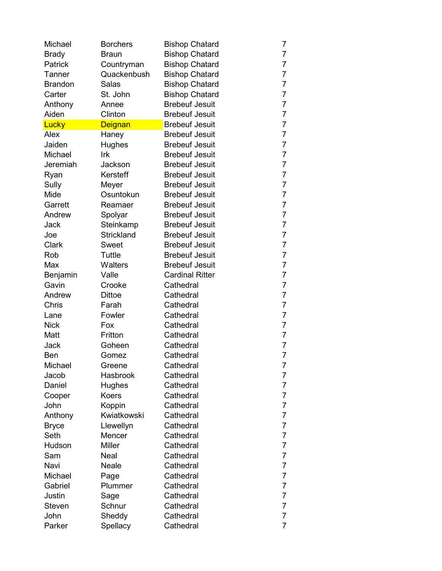| Michael        | <b>Borchers</b>   | <b>Bishop Chatard</b>  | 7              |
|----------------|-------------------|------------------------|----------------|
| <b>Brady</b>   | <b>Braun</b>      | <b>Bishop Chatard</b>  | 7              |
| Patrick        | Countryman        | <b>Bishop Chatard</b>  | 7              |
| Tanner         | Quackenbush       | <b>Bishop Chatard</b>  | $\overline{7}$ |
| <b>Brandon</b> | Salas             | <b>Bishop Chatard</b>  | $\overline{7}$ |
| Carter         | St. John          | <b>Bishop Chatard</b>  | $\overline{7}$ |
| Anthony        | Annee             | <b>Brebeuf Jesuit</b>  | $\overline{7}$ |
| Aiden          | Clinton           | <b>Brebeuf Jesuit</b>  | $\overline{7}$ |
| Lucky          | <b>Deignan</b>    | <b>Brebeuf Jesuit</b>  | $\overline{7}$ |
| Alex           | Haney             | <b>Brebeuf Jesuit</b>  | $\overline{7}$ |
| Jaiden         | Hughes            | <b>Brebeuf Jesuit</b>  | $\overline{7}$ |
| Michael        | Irk               | <b>Brebeuf Jesuit</b>  | $\overline{7}$ |
| Jeremiah       | Jackson           | <b>Brebeuf Jesuit</b>  | 7              |
| Ryan           | Kersteff          | <b>Brebeuf Jesuit</b>  | 7              |
| Sully          | Meyer             | <b>Brebeuf Jesuit</b>  | $\overline{7}$ |
| Mide           | Osuntokun         | <b>Brebeuf Jesuit</b>  | $\overline{7}$ |
| Garrett        | Reamaer           | <b>Brebeuf Jesuit</b>  | 7              |
| Andrew         | Spolyar           | <b>Brebeuf Jesuit</b>  | $\overline{7}$ |
| Jack           | Steinkamp         | <b>Brebeuf Jesuit</b>  | $\overline{7}$ |
| Joe            | <b>Strickland</b> | <b>Brebeuf Jesuit</b>  | 7              |
| <b>Clark</b>   | <b>Sweet</b>      | <b>Brebeuf Jesuit</b>  | $\overline{7}$ |
| Rob            | Tuttle            | <b>Brebeuf Jesuit</b>  | $\overline{7}$ |
| Max            | <b>Walters</b>    | <b>Brebeuf Jesuit</b>  | $\overline{7}$ |
| Benjamin       | Valle             | <b>Cardinal Ritter</b> | $\overline{7}$ |
| Gavin          | Crooke            | Cathedral              | $\overline{7}$ |
| Andrew         | <b>Dittoe</b>     | Cathedral              | $\overline{7}$ |
| Chris          | Farah             | Cathedral              | 7              |
| Lane           | Fowler            | Cathedral              | $\overline{7}$ |
| <b>Nick</b>    | Fox               | Cathedral              | $\overline{7}$ |
| Matt           | Fritton           | Cathedral              | $\overline{7}$ |
| Jack           | Goheen            | Cathedral              | $\overline{7}$ |
| Ben            | Gomez             | Cathedral              | $\overline{7}$ |
| Michael        | Greene            | Cathedral              | 7              |
| Jacob          | <b>Hasbrook</b>   | Cathedral              | 7              |
| Daniel         | Hughes            | Cathedral              | 7              |
| Cooper         | Koers             | Cathedral              | $\overline{7}$ |
| John           | Koppin            | Cathedral              | $\overline{7}$ |
| Anthony        | Kwiatkowski       | Cathedral              | 7              |
| <b>Bryce</b>   | Llewellyn         | Cathedral              | 7              |
| Seth           | Mencer            | Cathedral              | $\overline{7}$ |
| Hudson         | <b>Miller</b>     | Cathedral              | $\overline{7}$ |
| Sam            | Neal              | Cathedral              | 7              |
| Navi           | Neale             | Cathedral              | $\overline{7}$ |
| Michael        | Page              | Cathedral              | 7              |
| Gabriel        | Plummer           | Cathedral              | $\overline{7}$ |
| Justin         | Sage              | Cathedral              | $\overline{7}$ |
| Steven         | Schnur            | Cathedral              | 7              |
| John           | Sheddy            | Cathedral              | 7              |
| Parker         | Spellacy          | Cathedral              | $\overline{7}$ |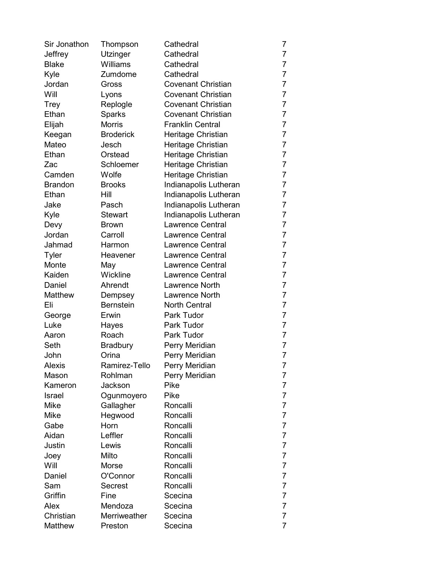| Sir Jonathon   | Thompson         | Cathedral                 | 7              |
|----------------|------------------|---------------------------|----------------|
| Jeffrey        | <b>Utzinger</b>  | Cathedral                 | $\overline{7}$ |
| <b>Blake</b>   | Williams         | Cathedral                 | $\overline{7}$ |
| Kyle           | Zumdome          | Cathedral                 | $\overline{7}$ |
| Jordan         | Gross            | <b>Covenant Christian</b> | $\overline{7}$ |
| Will           | Lyons            | <b>Covenant Christian</b> | $\overline{7}$ |
| Trey           | Replogle         | <b>Covenant Christian</b> | $\overline{7}$ |
| Ethan          | <b>Sparks</b>    | <b>Covenant Christian</b> | $\overline{7}$ |
| Elijah         | <b>Morris</b>    | <b>Franklin Central</b>   | $\overline{7}$ |
| Keegan         | <b>Broderick</b> | Heritage Christian        | $\overline{7}$ |
| Mateo          | Jesch            | Heritage Christian        | $\overline{7}$ |
| Ethan          | Orstead          | Heritage Christian        | $\overline{7}$ |
| Zac            | Schloemer        | Heritage Christian        | $\overline{7}$ |
| Camden         | Wolfe            | Heritage Christian        | 7              |
| <b>Brandon</b> | <b>Brooks</b>    | Indianapolis Lutheran     | $\overline{7}$ |
| Ethan          | Hill             | Indianapolis Lutheran     | 7              |
| Jake           | Pasch            | Indianapolis Lutheran     | 7              |
| Kyle           | <b>Stewart</b>   | Indianapolis Lutheran     | $\overline{7}$ |
| Devy           | <b>Brown</b>     | <b>Lawrence Central</b>   | $\overline{7}$ |
| Jordan         | Carroll          | <b>Lawrence Central</b>   | $\overline{7}$ |
| Jahmad         | Harmon           | <b>Lawrence Central</b>   | $\overline{7}$ |
| <b>Tyler</b>   | Heavener         | <b>Lawrence Central</b>   | $\overline{7}$ |
| Monte          | May              | <b>Lawrence Central</b>   | $\overline{7}$ |
| Kaiden         | Wickline         | <b>Lawrence Central</b>   | $\overline{7}$ |
| Daniel         | Ahrendt          | <b>Lawrence North</b>     | $\overline{7}$ |
| Matthew        | Dempsey          | <b>Lawrence North</b>     | $\overline{7}$ |
| Eli            | <b>Bernstein</b> | <b>North Central</b>      | $\overline{7}$ |
| George         | Erwin            | Park Tudor                | $\overline{7}$ |
| Luke           | Hayes            | Park Tudor                | $\overline{7}$ |
| Aaron          | Roach            | Park Tudor                | $\overline{7}$ |
| Seth           | <b>Bradbury</b>  | Perry Meridian            | $\overline{7}$ |
| John           | Orina            | Perry Meridian            | $\overline{7}$ |
| <b>Alexis</b>  | Ramirez-Tello    | Perry Meridian            | 7              |
| Mason          | Rohlman          | Perry Meridian            | 7              |
| Kameron        | Jackson          | Pike                      | 7              |
| Israel         | Ogunmoyero       | Pike                      | $\overline{7}$ |
| Mike           | Gallagher        | Roncalli                  | $\overline{7}$ |
| Mike           | Hegwood          | Roncalli                  | 7              |
| Gabe           | Horn             | Roncalli                  | 7              |
| Aidan          | Leffler          | Roncalli                  | 7              |
| Justin         | Lewis            | Roncalli                  | $\overline{7}$ |
| Joey           | Milto            | Roncalli                  | 7              |
| Will           | Morse            | Roncalli                  | $\overline{7}$ |
| Daniel         | O'Connor         | Roncalli                  | 7              |
| Sam            | Secrest          | Roncalli                  | $\overline{7}$ |
| Griffin        | Fine             | Scecina                   | $\overline{7}$ |
| Alex           | Mendoza          | Scecina                   | 7              |
| Christian      | Merriweather     | Scecina                   | 7              |
| Matthew        | Preston          | Scecina                   | $\overline{7}$ |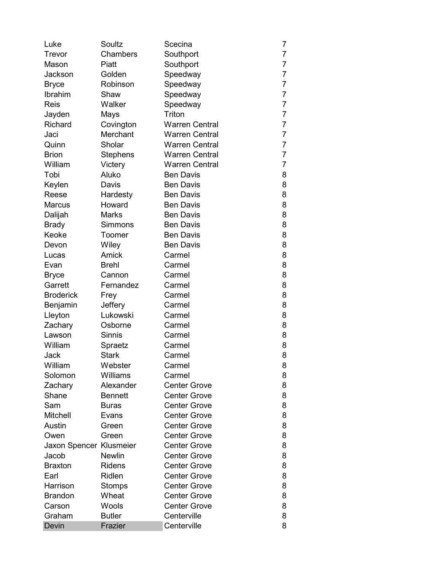| Luke                    | Soultz         | Scecina               | 7              |
|-------------------------|----------------|-----------------------|----------------|
| Trevor                  | Chambers       | Southport             | 7              |
| Mason                   | Piatt          | Southport             | $\overline{7}$ |
| Jackson                 | Golden         | Speedway              | $\overline{7}$ |
| <b>Bryce</b>            | Robinson       | Speedway              | $\overline{7}$ |
| Ibrahim                 | Shaw           | Speedway              | $\overline{7}$ |
| Reis                    | Walker         | Speedway              | $\overline{7}$ |
| Jayden                  | Mays           | Triton                | $\overline{7}$ |
| Richard                 | Covington      | <b>Warren Central</b> | 7              |
| Jaci                    | Merchant       | <b>Warren Central</b> | $\overline{7}$ |
| Quinn                   | Sholar         | <b>Warren Central</b> | 7              |
| <b>Brion</b>            | Stephens       | <b>Warren Central</b> | $\overline{7}$ |
| William                 | Victery        | <b>Warren Central</b> | 7              |
| Tobi                    | Aluko          | <b>Ben Davis</b>      | 8              |
| Keylen                  | Davis          | <b>Ben Davis</b>      | 8              |
| Reese                   | Hardesty       | <b>Ben Davis</b>      | 8              |
| <b>Marcus</b>           | Howard         | <b>Ben Davis</b>      | 8              |
| Dalijah                 | <b>Marks</b>   | <b>Ben Davis</b>      | 8              |
| <b>Brady</b>            | <b>Simmons</b> | <b>Ben Davis</b>      | 8              |
| Keoke                   | Toomer         | <b>Ben Davis</b>      | 8              |
| Devon                   | Wiley          | <b>Ben Davis</b>      | 8              |
| Lucas                   | Amick          | Carmel                | 8              |
| Evan                    | <b>Brehl</b>   | Carmel                | 8              |
| <b>Bryce</b>            | Cannon         | Carmel                | 8              |
| Garrett                 | Fernandez      | Carmel                | 8              |
| <b>Broderick</b>        | Frey           | Carmel                | 8              |
| Benjamin                | Jeffery        | Carmel                | 8              |
| Lleyton                 | Lukowski       | Carmel                | 8              |
| Zachary                 | Osborne        | Carmel                | 8              |
| Lawson                  | <b>Sinnis</b>  | Carmel                | 8              |
| William                 | Spraetz        | Carmel                | 8              |
| Jack                    | <b>Stark</b>   | Carmel                | 8              |
| William                 | Webster        | Carmel                | 8              |
| Solomon                 | Williams       | Carmel                | 8              |
| Zachary                 | Alexander      | <b>Center Grove</b>   | 8              |
| Shane                   | <b>Bennett</b> | <b>Center Grove</b>   | 8              |
| Sam                     | <b>Buras</b>   | <b>Center Grove</b>   | 8              |
| Mitchell                | Evans          | <b>Center Grove</b>   | 8              |
| Austin                  | Green          | <b>Center Grove</b>   | 8              |
| Owen                    | Green          | <b>Center Grove</b>   | 8              |
| Jaxon Spencer Klusmeier |                | <b>Center Grove</b>   | 8              |
| Jacob                   | <b>Newlin</b>  | <b>Center Grove</b>   | 8              |
| <b>Braxton</b>          | <b>Ridens</b>  | <b>Center Grove</b>   | 8              |
| Earl                    | Ridlen         | <b>Center Grove</b>   | 8              |
| Harrison                | Stomps         | <b>Center Grove</b>   | 8              |
| <b>Brandon</b>          | Wheat          | <b>Center Grove</b>   | 8              |
| Carson                  | Wools          | <b>Center Grove</b>   | 8              |
| Graham                  | <b>Butler</b>  | Centerville           | 8              |
| Devin                   | Frazier        | Centerville           | 8              |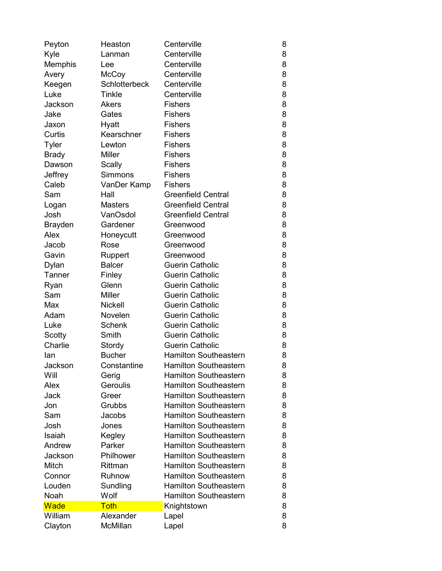| Peyton         | Heaston              | Centerville                  | 8 |
|----------------|----------------------|------------------------------|---|
| Kyle           | Lanman               | Centerville                  | 8 |
| Memphis        | Lee                  | Centerville                  | 8 |
| Avery          | McCoy                | Centerville                  | 8 |
| Keegen         | <b>Schlotterbeck</b> | Centerville                  | 8 |
| Luke           | Tinkle               | Centerville                  | 8 |
| Jackson        | Akers                | <b>Fishers</b>               | 8 |
| Jake           | Gates                | <b>Fishers</b>               | 8 |
| Jaxon          | Hyatt                | <b>Fishers</b>               | 8 |
| Curtis         | Kearschner           | <b>Fishers</b>               | 8 |
| <b>Tyler</b>   | Lewton               | <b>Fishers</b>               | 8 |
| <b>Brady</b>   | <b>Miller</b>        | <b>Fishers</b>               | 8 |
| Dawson         | Scally               | <b>Fishers</b>               | 8 |
| Jeffrey        | <b>Simmons</b>       | <b>Fishers</b>               | 8 |
| Caleb          | VanDer Kamp          | <b>Fishers</b>               | 8 |
| Sam            | Hall                 | <b>Greenfield Central</b>    | 8 |
| Logan          | <b>Masters</b>       | <b>Greenfield Central</b>    | 8 |
| Josh           | VanOsdol             | <b>Greenfield Central</b>    | 8 |
| <b>Brayden</b> | Gardener             | Greenwood                    | 8 |
| Alex           | Honeycutt            | Greenwood                    | 8 |
| Jacob          | Rose                 | Greenwood                    | 8 |
| Gavin          | Ruppert              | Greenwood                    | 8 |
| Dylan          | <b>Balcer</b>        | <b>Guerin Catholic</b>       | 8 |
| Tanner         | Finley               | <b>Guerin Catholic</b>       | 8 |
| Ryan           | Glenn                | <b>Guerin Catholic</b>       | 8 |
| Sam            | <b>Miller</b>        | <b>Guerin Catholic</b>       | 8 |
| Max            | <b>Nickell</b>       | <b>Guerin Catholic</b>       | 8 |
| Adam           | Novelen              | <b>Guerin Catholic</b>       | 8 |
| Luke           | <b>Schenk</b>        | <b>Guerin Catholic</b>       | 8 |
| Scotty         | Smith                | <b>Guerin Catholic</b>       | 8 |
| Charlie        | Stordy               | <b>Guerin Catholic</b>       | 8 |
| lan            | <b>Bucher</b>        | <b>Hamilton Southeastern</b> | 8 |
| Jackson        | Constantine          | <b>Hamilton Southeastern</b> | 8 |
| Will           | Gerig                | <b>Hamilton Southeastern</b> | 8 |
| Alex           | Geroulis             | <b>Hamilton Southeastern</b> | 8 |
| Jack           | Greer                | <b>Hamilton Southeastern</b> | 8 |
| Jon            | Grubbs               | <b>Hamilton Southeastern</b> | 8 |
| Sam            | Jacobs               | <b>Hamilton Southeastern</b> | 8 |
| Josh           | Jones                | <b>Hamilton Southeastern</b> | 8 |
| Isaiah         | Kegley               | <b>Hamilton Southeastern</b> | 8 |
| Andrew         | Parker               | <b>Hamilton Southeastern</b> | 8 |
| Jackson        | Philhower            | <b>Hamilton Southeastern</b> | 8 |
| Mitch          | Rittman              | <b>Hamilton Southeastern</b> | 8 |
| Connor         | Ruhnow               | <b>Hamilton Southeastern</b> | 8 |
| Louden         | Sundling             | <b>Hamilton Southeastern</b> | 8 |
| Noah           | Wolf                 | <b>Hamilton Southeastern</b> | 8 |
| <b>Wade</b>    | <b>Toth</b>          | Knightstown                  | 8 |
| William        | Alexander            | Lapel                        | 8 |
| Clayton        | McMillan             | Lapel                        | 8 |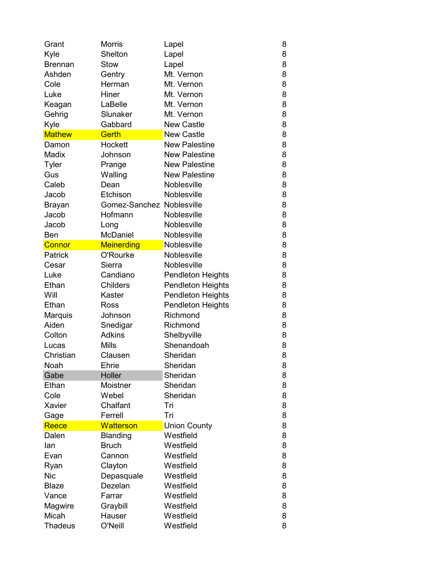| Grant          | Morris                    | Lapel                    | 8 |
|----------------|---------------------------|--------------------------|---|
| Kyle           | Shelton                   | Lapel                    | 8 |
| <b>Brennan</b> | Stow                      | Lapel                    | 8 |
| Ashden         | Gentry                    | Mt. Vernon               | 8 |
| Cole           | Herman                    | Mt. Vernon               | 8 |
| Luke           | Hiner                     | Mt. Vernon               | 8 |
| Keagan         | LaBelle                   | Mt. Vernon               | 8 |
| Gehrig         | Slunaker                  | Mt. Vernon               | 8 |
| Kyle           | Gabbard                   | <b>New Castle</b>        | 8 |
| <b>Mathew</b>  | <b>Gerth</b>              | <b>New Castle</b>        | 8 |
| Damon          | Hockett                   | <b>New Palestine</b>     | 8 |
| Madix          | Johnson                   | <b>New Palestine</b>     | 8 |
| Tyler          | Prange                    | <b>New Palestine</b>     | 8 |
| Gus            | Walling                   | <b>New Palestine</b>     | 8 |
| Caleb          | Dean                      | <b>Noblesville</b>       | 8 |
| Jacob          | Etchison                  | Noblesville              | 8 |
| Brayan         | Gomez-Sanchez Noblesville |                          | 8 |
| Jacob          | Hofmann                   | <b>Noblesville</b>       | 8 |
| Jacob          | Long                      | <b>Noblesville</b>       | 8 |
| Ben            | McDaniel                  | Noblesville              | 8 |
| <b>Connor</b>  | <b>Meinerding</b>         | Noblesville              | 8 |
| Patrick        | O'Rourke                  | <b>Noblesville</b>       | 8 |
| Cesar          | Sierra                    | Noblesville              | 8 |
| Luke           | Candiano                  | <b>Pendleton Heights</b> | 8 |
| Ethan          | <b>Childers</b>           | <b>Pendleton Heights</b> | 8 |
| Will           | Kaster                    | <b>Pendleton Heights</b> | 8 |
| Ethan          | Ross                      | <b>Pendleton Heights</b> | 8 |
| Marquis        | Johnson                   | Richmond                 | 8 |
| Aiden          | Snedigar                  | Richmond                 | 8 |
| Colton         | <b>Adkins</b>             | Shelbyville              | 8 |
| Lucas          | <b>Mills</b>              | Shenandoah               | 8 |
| Christian      | Clausen                   | Sheridan                 | 8 |
| Noah           | Ehrie                     | Sheridan                 | 8 |
| Gabe           | Holler                    | Sheridan                 | 8 |
| Ethan          | Moistner                  | Sheridan                 | 8 |
| Cole           | Webel                     | Sheridan                 | 8 |
| Xavier         | Chalfant                  | Tri                      | 8 |
| Gage           | Ferrell                   | Tri                      | 8 |
| Reece          | <b>Watterson</b>          | <b>Union County</b>      | 8 |
| Dalen          | <b>Blanding</b>           | Westfield                | 8 |
| lan            | <b>Bruch</b>              | Westfield                | 8 |
| Evan           | Cannon                    | Westfield                | 8 |
| Ryan           | Clayton                   | Westfield                | 8 |
| <b>Nic</b>     | Depasquale                | Westfield                | 8 |
| <b>Blaze</b>   | Dezelan                   | Westfield                | 8 |
| Vance          | Farrar                    | Westfield                | 8 |
| Magwire        | Graybill                  | Westfield                | 8 |
| Micah          | Hauser                    | Westfield                | 8 |
| <b>Thadeus</b> | O'Neill                   | Westfield                | 8 |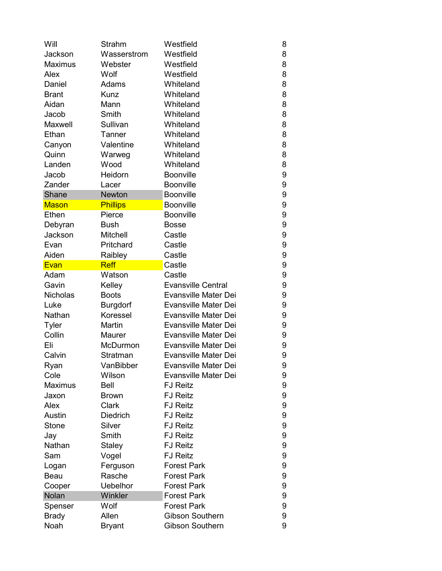| Will            | Strahm          | Westfield                   | 8 |
|-----------------|-----------------|-----------------------------|---|
| Jackson         | Wasserstrom     | Westfield                   | 8 |
| <b>Maximus</b>  | Webster         | Westfield                   | 8 |
| Alex            | Wolf            | Westfield                   | 8 |
| Daniel          | Adams           | Whiteland                   | 8 |
| <b>Brant</b>    | <b>Kunz</b>     | Whiteland                   | 8 |
| Aidan           | Mann            | Whiteland                   | 8 |
| Jacob           | Smith           | Whiteland                   | 8 |
| Maxwell         | Sullivan        | Whiteland                   | 8 |
| Ethan           | Tanner          | Whiteland                   | 8 |
| Canyon          | Valentine       | Whiteland                   | 8 |
| Quinn           | Warweg          | Whiteland                   | 8 |
| Landen          | Wood            | Whiteland                   | 8 |
| Jacob           | Heidorn         | <b>Boonville</b>            | 9 |
| Zander          | Lacer           | <b>Boonville</b>            | 9 |
| Shane           | <b>Newton</b>   | <b>Boonville</b>            | 9 |
| <b>Mason</b>    | Phillips        | Boonville                   | 9 |
| Ethen           | Pierce          | <b>Boonville</b>            | 9 |
| Debyran         | <b>Bush</b>     | <b>Bosse</b>                | 9 |
| Jackson         | Mitchell        | Castle                      | 9 |
| Evan            | Pritchard       | Castle                      | 9 |
| Aiden           | Raibley         | Castle                      | 9 |
| Evan            | <b>Reff</b>     | Castle                      | 9 |
| Adam            | Watson          | Castle                      | 9 |
| Gavin           | Kelley          | <b>Evansville Central</b>   | 9 |
| <b>Nicholas</b> | <b>Boots</b>    | Evansville Mater Dei        | 9 |
| Luke            | <b>Burgdorf</b> | <b>Evansville Mater Dei</b> | 9 |
| Nathan          | Koressel        | Evansville Mater Dei        | 9 |
| <b>Tyler</b>    | Martin          | <b>Evansville Mater Dei</b> | 9 |
| Collin          | Maurer          | <b>Evansville Mater Dei</b> | 9 |
| Eli             | McDurmon        | <b>Evansville Mater Dei</b> | 9 |
| Calvin          | Stratman        | <b>Evansville Mater Dei</b> | 9 |
| Ryan            | VanBibber       | <b>Evansville Mater Dei</b> | 9 |
| Cole            | Wilson          | <b>Evansville Mater Dei</b> | 9 |
| <b>Maximus</b>  | Bell            | <b>FJ Reitz</b>             | 9 |
| Jaxon           | <b>Brown</b>    | <b>FJ Reitz</b>             | 9 |
| Alex            | Clark           | <b>FJ Reitz</b>             | 9 |
| Austin          | <b>Diedrich</b> | <b>FJ Reitz</b>             | 9 |
| Stone           | Silver          | <b>FJ Reitz</b>             | 9 |
| Jay             | Smith           | <b>FJ Reitz</b>             | 9 |
| Nathan          | Staley          | <b>FJ Reitz</b>             | 9 |
| Sam             | Vogel           | <b>FJ Reitz</b>             | 9 |
| Logan           | Ferguson        | <b>Forest Park</b>          | 9 |
| Beau            | Rasche          | <b>Forest Park</b>          | 9 |
| Cooper          | <b>Uebelhor</b> | <b>Forest Park</b>          | 9 |
| Nolan           | Winkler         | <b>Forest Park</b>          | 9 |
| Spenser         | Wolf            | <b>Forest Park</b>          | 9 |
| <b>Brady</b>    | Allen           | <b>Gibson Southern</b>      | 9 |
| Noah            | <b>Bryant</b>   | Gibson Southern             | 9 |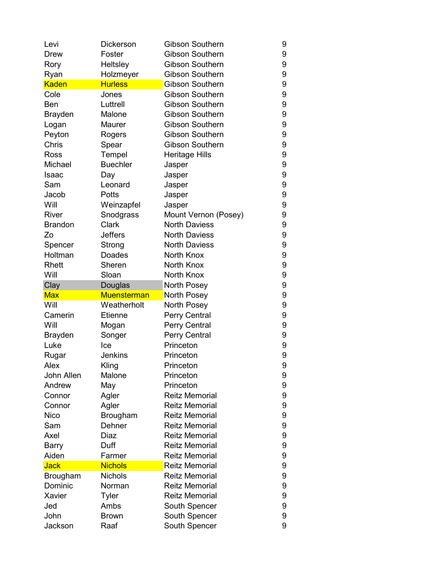| Levi           | Dickerson          | <b>Gibson Southern</b> | 9      |
|----------------|--------------------|------------------------|--------|
| Drew           | Foster             | <b>Gibson Southern</b> | 9      |
| Rory           | Heltsley           | <b>Gibson Southern</b> | 9      |
| Ryan           | Holzmeyer          | <b>Gibson Southern</b> | 9      |
| <b>Kaden</b>   | <b>Hurless</b>     | <b>Gibson Southern</b> | 9      |
| Cole           | Jones              | <b>Gibson Southern</b> | 9      |
| Ben            | Luttrell           | <b>Gibson Southern</b> | 9      |
| <b>Brayden</b> | Malone             | <b>Gibson Southern</b> | 9      |
| Logan          | Maurer             | <b>Gibson Southern</b> | 9      |
| Peyton         | Rogers             | <b>Gibson Southern</b> | 9      |
| Chris          | Spear              | <b>Gibson Southern</b> | 9      |
| Ross           | Tempel             | <b>Heritage Hills</b>  | 9      |
| Michael        | <b>Buechler</b>    | Jasper                 | 9      |
| Isaac          | Day                | Jasper                 | 9      |
| Sam            | Leonard            | Jasper                 | 9      |
| Jacob          | Potts              | Jasper                 | 9      |
| Will           | Weinzapfel         | Jasper                 | 9      |
| <b>River</b>   | Snodgrass          | Mount Vernon (Posey)   | 9      |
| <b>Brandon</b> | Clark              | <b>North Daviess</b>   | 9      |
| Zo             | <b>Jeffers</b>     | <b>North Daviess</b>   | 9      |
| Spencer        | Strong             | <b>North Daviess</b>   | 9      |
| Holtman        | <b>Doades</b>      | North Knox             | 9      |
| Rhett          | Sheren             | North Knox             | 9      |
| Will           | Sloan              | North Knox             | 9      |
|                |                    |                        |        |
| Clay           | Douglas            | North Posey            | 9      |
| <b>Max</b>     | <b>Muensterman</b> | North Posey            | 9      |
| Will           | Weatherholt        | North Posey            | 9      |
| Camerin        | Etienne            | Perry Central          | 9      |
| Will           | Mogan              | Perry Central          | 9      |
| <b>Brayden</b> | Songer             | Perry Central          | 9      |
| Luke           | Ice                | Princeton              | 9      |
| Rugar          | <b>Jenkins</b>     | Princeton              | 9      |
| Alex           | Kling              | Princeton              | 9      |
| John Allen     | Malone             | Princeton              | 9      |
| Andrew         | May                | Princeton              | 9      |
| Connor         | Agler              | <b>Reitz Memorial</b>  | 9      |
| Connor         | Agler              | <b>Reitz Memorial</b>  | 9      |
| <b>Nico</b>    | Brougham           | <b>Reitz Memorial</b>  | 9      |
| Sam            | Dehner             | <b>Reitz Memorial</b>  | 9      |
| Axel           | Diaz               | <b>Reitz Memorial</b>  | 9      |
| Barry          | Duff               | <b>Reitz Memorial</b>  | 9      |
| Aiden          | Farmer             | <b>Reitz Memorial</b>  | 9      |
| <b>Jack</b>    | <b>Nichols</b>     | <b>Reitz Memorial</b>  | 9      |
| Brougham       | Nichols            | <b>Reitz Memorial</b>  | 9      |
| Dominic        | Norman             | <b>Reitz Memorial</b>  | 9      |
| Xavier         | Tyler              | <b>Reitz Memorial</b>  | 9      |
| Jed            | Ambs               | South Spencer          | 9      |
| John           | <b>Brown</b>       | South Spencer          | 9<br>9 |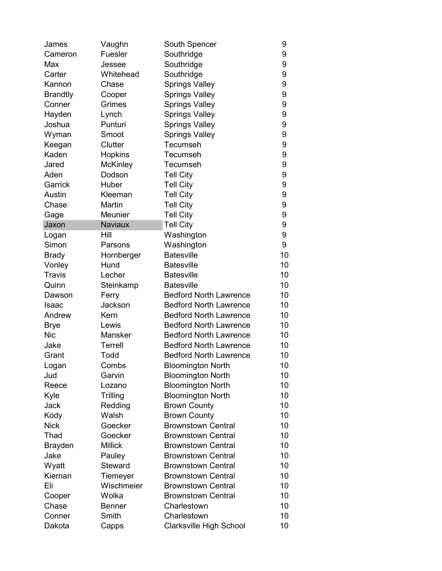| Fuesler<br>Southridge<br>Cameron<br>Southridge<br>Max<br>Jessee<br>Carter<br>Whitehead<br>Southridge | 9<br>9<br>9 |
|------------------------------------------------------------------------------------------------------|-------------|
|                                                                                                      |             |
|                                                                                                      |             |
|                                                                                                      |             |
| Chase<br><b>Springs Valley</b><br>Kannon                                                             | 9           |
| <b>Springs Valley</b><br><b>Brandtly</b><br>Cooper                                                   | 9           |
| Grimes<br>Conner<br><b>Springs Valley</b>                                                            | 9           |
| Hayden<br><b>Springs Valley</b><br>Lynch                                                             | 9           |
| Punturi<br><b>Springs Valley</b><br>Joshua                                                           | 9           |
| Wyman<br>Smoot<br><b>Springs Valley</b>                                                              | 9           |
| Clutter<br>Tecumseh<br>Keegan                                                                        | 9           |
| Kaden<br><b>Hopkins</b><br>Tecumseh                                                                  | 9           |
| <b>McKinley</b><br>Tecumseh<br>Jared                                                                 | 9           |
| Aden<br>Dodson<br><b>Tell City</b>                                                                   | 9           |
| Garrick<br>Huber<br><b>Tell City</b>                                                                 | 9           |
| Austin<br><b>Tell City</b><br>Kleeman                                                                | 9           |
| Chase<br>Martin<br><b>Tell City</b>                                                                  | 9           |
| Meunier<br><b>Tell City</b><br>Gage                                                                  | 9           |
| Jaxon<br><b>Naviaux</b><br><b>Tell City</b>                                                          | 9           |
| Hill<br>Washington<br>Logan                                                                          | 9           |
| Simon<br>Washington<br>Parsons                                                                       | 9           |
| <b>Batesville</b><br><b>Brady</b><br>Hornberger                                                      | 10          |
| Hund<br><b>Batesville</b><br>Vonley                                                                  | 10          |
| <b>Batesville</b><br><b>Travis</b><br>Lecher                                                         | 10          |
| Steinkamp<br><b>Batesville</b><br>Quinn                                                              | 10          |
| <b>Bedford North Lawrence</b><br>Ferry<br>Dawson                                                     | 10          |
| <b>Bedford North Lawrence</b><br>Jackson<br>Isaac                                                    | 10          |
| Andrew<br><b>Bedford North Lawrence</b><br>Kern                                                      | 10          |
| Lewis<br><b>Bedford North Lawrence</b><br><b>Brye</b>                                                | 10          |
| <b>Nic</b><br>Mansker<br><b>Bedford North Lawrence</b>                                               | 10          |
| <b>Bedford North Lawrence</b><br>Jake<br><b>Terrell</b>                                              | 10          |
| Todd<br><b>Bedford North Lawrence</b><br>Grant                                                       | 10          |
| Combs<br><b>Bloomington North</b><br>Logan                                                           | 10          |
| <b>Bloomington North</b><br>Jud<br>Garvin                                                            | 10          |
| Reece<br><b>Bloomington North</b><br>Lozano                                                          | 10          |
| <b>Bloomington North</b><br>Kyle<br>Trilling                                                         | 10          |
| Jack<br>Redding<br><b>Brown County</b>                                                               | 10          |
| Kody<br>Walsh<br><b>Brown County</b>                                                                 | 10          |
| <b>Nick</b><br>Goecker<br><b>Brownstown Central</b>                                                  | 10          |
| Thad<br><b>Brownstown Central</b><br>Goecker                                                         | 10          |
| <b>Millick</b><br><b>Brownstown Central</b><br><b>Brayden</b>                                        | 10          |
| Jake<br>Pauley<br><b>Brownstown Central</b>                                                          | 10          |
| Wyatt<br><b>Steward</b><br><b>Brownstown Central</b>                                                 | 10          |
| Kiernan<br><b>Brownstown Central</b><br>Tiemeyer                                                     | 10          |
| Wischmeier<br><b>Brownstown Central</b><br>Eli                                                       | 10          |
| Wolka<br><b>Brownstown Central</b><br>Cooper                                                         | 10          |
| Chase<br>Charlestown<br>Benner                                                                       | 10          |
| Charlestown<br>Conner<br>Smith                                                                       | 10          |
| Clarksville High School<br>Dakota<br>Capps                                                           | 10          |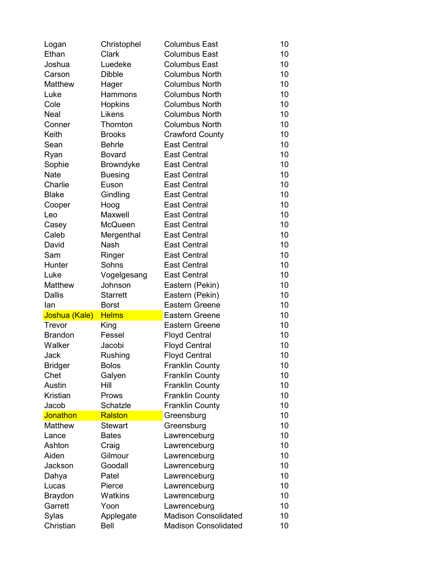| Logan          | Christophel      | <b>Columbus East</b>        | 10 |
|----------------|------------------|-----------------------------|----|
| Ethan          | Clark            | <b>Columbus East</b>        | 10 |
| Joshua         | Luedeke          | <b>Columbus East</b>        | 10 |
| Carson         | <b>Dibble</b>    | <b>Columbus North</b>       | 10 |
| Matthew        | Hager            | <b>Columbus North</b>       | 10 |
| Luke           | Hammons          | <b>Columbus North</b>       | 10 |
| Cole           | Hopkins          | <b>Columbus North</b>       | 10 |
| <b>Neal</b>    | Likens           | <b>Columbus North</b>       | 10 |
| Conner         | Thornton         | <b>Columbus North</b>       | 10 |
| Keith          | <b>Brooks</b>    | <b>Crawford County</b>      | 10 |
| Sean           | <b>Behrle</b>    | <b>East Central</b>         | 10 |
| Ryan           | <b>Bovard</b>    | <b>East Central</b>         | 10 |
| Sophie         | <b>Browndyke</b> | <b>East Central</b>         | 10 |
| <b>Nate</b>    | <b>Buesing</b>   | <b>East Central</b>         | 10 |
| Charlie        | Euson            | <b>East Central</b>         | 10 |
| <b>Blake</b>   | Gindling         | <b>East Central</b>         | 10 |
| Cooper         | Hoog             | <b>East Central</b>         | 10 |
| Leo            | Maxwell          | <b>East Central</b>         | 10 |
| Casey          | <b>McQueen</b>   | <b>East Central</b>         | 10 |
| Caleb          | Mergenthal       | <b>East Central</b>         | 10 |
| David          | Nash             | <b>East Central</b>         | 10 |
| Sam            | Ringer           | <b>East Central</b>         | 10 |
| Hunter         | Sohns            | <b>East Central</b>         | 10 |
| Luke           | Vogelgesang      | <b>East Central</b>         | 10 |
| <b>Matthew</b> | Johnson          | Eastern (Pekin)             | 10 |
| <b>Dallis</b>  | <b>Starrett</b>  | Eastern (Pekin)             | 10 |
| lan            | <b>Borst</b>     | <b>Eastern Greene</b>       | 10 |
| Joshua (Kale)  | <b>Helms</b>     | <b>Eastern Greene</b>       | 10 |
| Trevor         | King             | <b>Eastern Greene</b>       | 10 |
| <b>Brandon</b> | Fessel           | <b>Floyd Central</b>        | 10 |
| Walker         | Jacobi           | <b>Floyd Central</b>        | 10 |
| Jack           | Rushing          | <b>Floyd Central</b>        | 10 |
| <b>Bridger</b> | <b>Bolos</b>     | <b>Franklin County</b>      | 10 |
| Chet           | Galyen           | <b>Franklin County</b>      | 10 |
| Austin         | Hill             | <b>Franklin County</b>      | 10 |
| Kristian       | Prows            | <b>Franklin County</b>      | 10 |
| Jacob          | Schatzle         | <b>Franklin County</b>      | 10 |
| Jonathon       | Ralston          | Greensburg                  | 10 |
| <b>Matthew</b> | <b>Stewart</b>   | Greensburg                  | 10 |
| Lance          | <b>Bates</b>     | Lawrenceburg                | 10 |
| Ashton         | Craig            | Lawrenceburg                | 10 |
| Aiden          | Gilmour          | Lawrenceburg                | 10 |
| Jackson        | Goodall          | Lawrenceburg                | 10 |
| Dahya          | Patel            | Lawrenceburg                | 10 |
| Lucas          | Pierce           | Lawrenceburg                | 10 |
| <b>Braydon</b> | Watkins          | Lawrenceburg                | 10 |
| Garrett        | Yoon             | Lawrenceburg                | 10 |
| Sylas          | Applegate        | <b>Madison Consolidated</b> | 10 |
| Christian      | Bell             | <b>Madison Consolidated</b> | 10 |